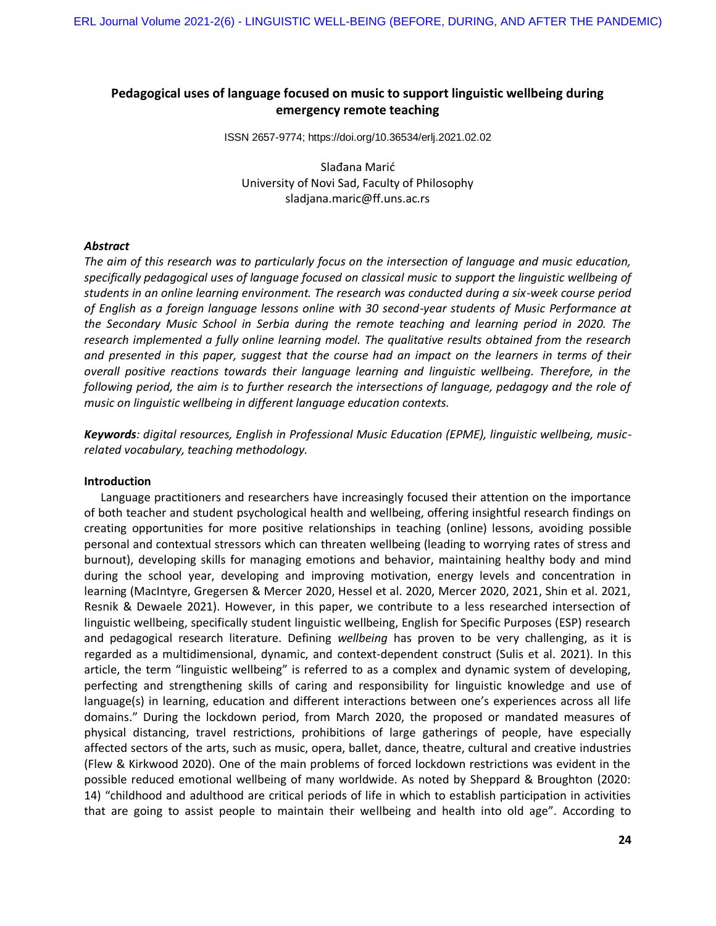# **Pedagogical uses of language focused on music to support linguistic wellbeing during emergency remote teaching**

ISSN 2657-9774; https://doi.org/10.36534/erlj.2021.02.02

Slađana Marić University of Novi Sad, Faculty of Philosophy [sladjana.maric@ff.uns.ac.rs](mailto:sladjana.maric@ff.uns.ac.rs)

## *Abstract*

*The aim of this research was to particularly focus on the intersection of language and music education, specifically pedagogical uses of language focused on classical music to support the linguistic wellbeing of students in an online learning environment. The research was conducted during a six-week course period of English as a foreign language lessons online with 30 second-year students of Music Performance at the Secondary Music School in Serbia during the remote teaching and learning period in 2020. The research implemented a fully online learning model. The qualitative results obtained from the research and presented in this paper, suggest that the course had an impact on the learners in terms of their overall positive reactions towards their language learning and linguistic wellbeing. Therefore, in the following period, the aim is to further research the intersections of language, pedagogy and the role of music on linguistic wellbeing in different language education contexts.*

*Keywords: digital resources, English in Professional Music Education (EPME), linguistic wellbeing, musicrelated vocabulary, teaching methodology.*

## **Introduction**

Language practitioners and researchers have increasingly focused their attention on the importance of both teacher and student psychological health and wellbeing, offering insightful research findings on creating opportunities for more positive relationships in teaching (online) lessons, avoiding possible personal and contextual stressors which can threaten wellbeing (leading to worrying rates of stress and burnout), developing skills for managing emotions and behavior, maintaining healthy body and mind during the school year, developing and improving motivation, energy levels and concentration in learning (MacIntyre, Gregersen & Mercer 2020, Hessel et al. 2020, Mercer 2020, 2021, Shin et al. 2021, Resnik & Dewaele 2021). However, in this paper, we contribute to a less researched intersection of linguistic wellbeing, specifically student linguistic wellbeing, English for Specific Purposes (ESP) research and pedagogical research literature. Defining *wellbeing* has proven to be very challenging, as it is regarded as a multidimensional, dynamic, and context-dependent construct (Sulis et al. 2021). In this article, the term "linguistic wellbeing" is referred to as a complex and dynamic system of developing, perfecting and strengthening skills of caring and responsibility for linguistic knowledge and use of language(s) in learning, education and different interactions between one's experiences across all life domains." During the lockdown period, from March 2020, the proposed or mandated measures of physical distancing, travel restrictions, prohibitions of large gatherings of people, have especially affected sectors of the arts, such as music, opera, ballet, dance, theatre, cultural and creative industries (Flew & Kirkwood 2020). One of the main problems of forced lockdown restrictions was evident in the possible reduced emotional wellbeing of many worldwide. As noted by Sheppard & Broughton (2020: 14) "childhood and adulthood are critical periods of life in which to establish participation in activities that are going to assist people to maintain their wellbeing and health into old age". According to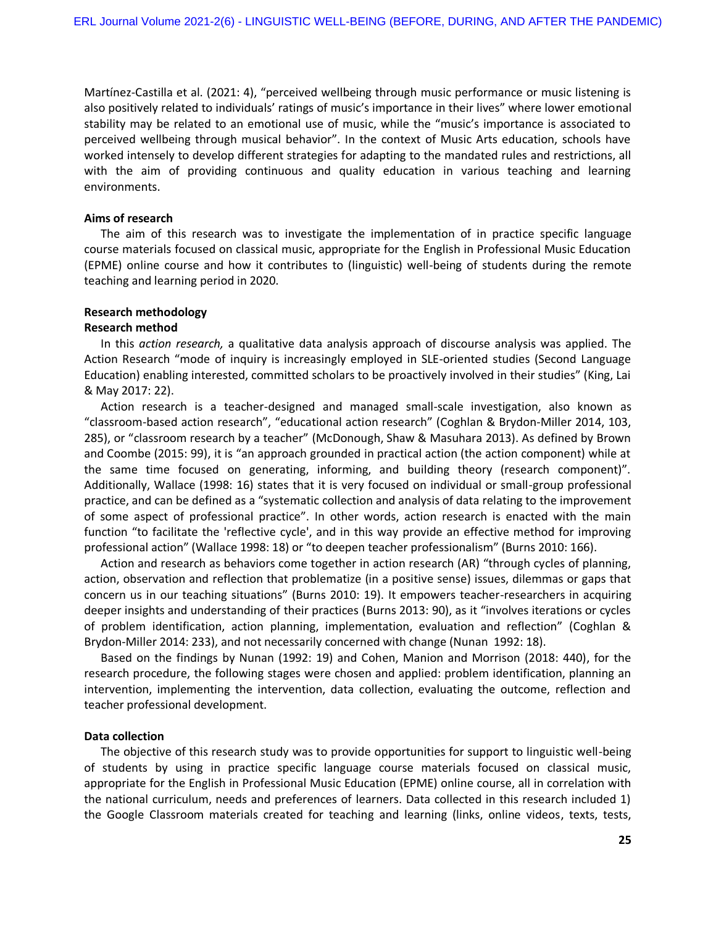Martínez-Castilla et al. (2021: 4), "perceived wellbeing through music performance or music listening is also positively related to individuals' ratings of music's importance in their lives" where lower emotional stability may be related to an emotional use of music, while the "music's importance is associated to perceived wellbeing through musical behavior". In the context of Music Arts education, schools have worked intensely to develop different strategies for adapting to the mandated rules and restrictions, all with the aim of providing continuous and quality education in various teaching and learning environments.

## **Aims of research**

The aim of this research was to investigate the implementation of in practice specific language course materials focused on classical music, appropriate for the English in Professional Music Education (EPME) online course and how it contributes to (linguistic) well-being of students during the remote teaching and learning period in 2020.

## **Research methodology**

## **Research method**

In this *action research,* a qualitative data analysis approach of discourse analysis was applied. The Action Research "mode of inquiry is increasingly employed in SLE-oriented studies (Second Language Education) enabling interested, committed scholars to be proactively involved in their studies" (King, Lai & May 2017: 22).

Action research is a teacher-designed and managed small-scale investigation, also known as "classroom-based action research", "educational action research" (Coghlan & Brydon-Miller 2014, 103, 285), or "classroom research by a teacher" (McDonough, Shaw & Masuhara 2013). As defined by Brown and Coombe (2015: 99), it is "an approach grounded in practical action (the action component) while at the same time focused on generating, informing, and building theory (research component)". Additionally, Wallace (1998: 16) states that it is very focused on individual or small-group professional practice, and can be defined as a "systematic collection and analysis of data relating to the improvement of some aspect of professional practice". In other words, action research is enacted with the main function "to facilitate the 'reflective cycle', and in this way provide an effective method for improving professional action" (Wallace 1998: 18) or "to deepen teacher professionalism" (Burns 2010: 166).

Action and research as behaviors come together in action research (AR) "through cycles of planning, action, observation and reflection that problematize (in a positive sense) issues, dilemmas or gaps that concern us in our teaching situations" (Burns 2010: 19). It empowers teacher-researchers in acquiring deeper insights and understanding of their practices (Burns 2013: 90), as it "involves iterations or cycles of problem identification, action planning, implementation, evaluation and reflection" (Coghlan & Brydon-Miller 2014: 233), and not necessarily concerned with change (Nunan 1992: 18).

Based on the findings by Nunan (1992: 19) and Cohen, Manion and Morrison (2018: 440), for the research procedure, the following stages were chosen and applied: problem identification, planning an intervention, implementing the intervention, data collection, evaluating the outcome, reflection and teacher professional development.

### **Data collection**

The objective of this research study was to provide opportunities for support to linguistic well-being of students by using in practice specific language course materials focused on classical music, appropriate for the English in Professional Music Education (EPME) online course, all in correlation with the national curriculum, needs and preferences of learners. Data collected in this research included 1) the Google Classroom materials created for teaching and learning (links, online videos, texts, tests,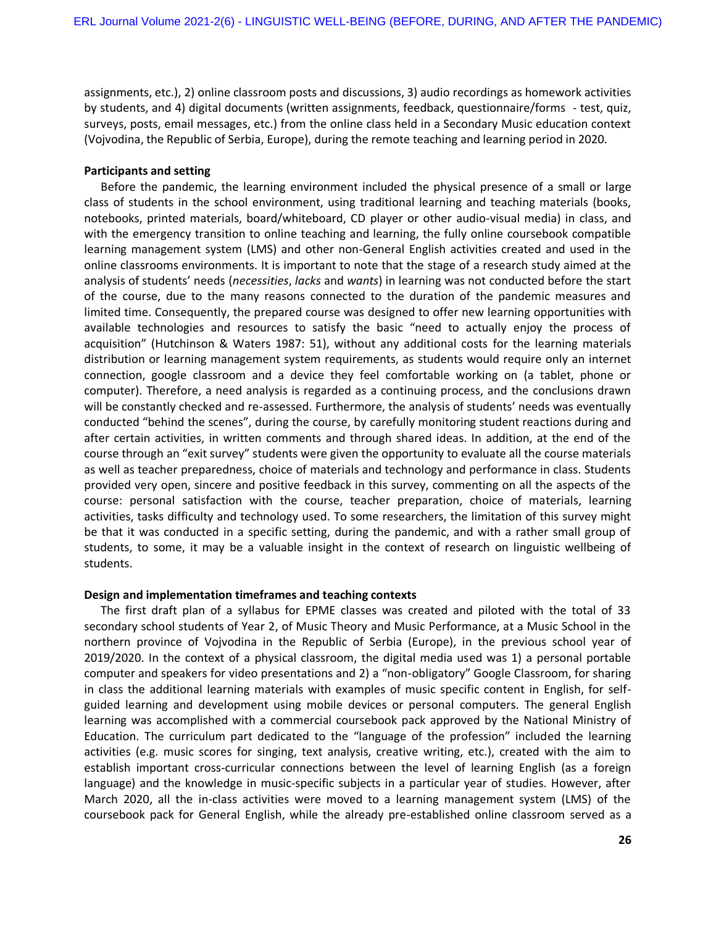assignments, etc.), 2) online classroom posts and discussions, 3) audio recordings as homework activities by students, and 4) digital documents (written assignments, feedback, questionnaire/forms - test, quiz, surveys, posts, email messages, etc.) from the online class held in a Secondary Music education context (Vojvodina, the Republic of Serbia, Europe), during the remote teaching and learning period in 2020.

# **Participants and setting**

Before the pandemic, the learning environment included the physical presence of a small or large class of students in the school environment, using traditional learning and teaching materials (books, notebooks, printed materials, board/whiteboard, CD player or other audio-visual media) in class, and with the emergency transition to online teaching and learning, the fully online coursebook compatible learning management system (LMS) and other non-General English activities created and used in the online classrooms environments. It is important to note that the stage of a research study aimed at the analysis of students' needs (*necessities*, *lacks* and *wants*) in learning was not conducted before the start of the course, due to the many reasons connected to the duration of the pandemic measures and limited time. Consequently, the prepared course was designed to offer new learning opportunities with available technologies and resources to satisfy the basic "need to actually enjoy the process of acquisition" (Hutchinson & Waters 1987: 51), without any additional costs for the learning materials distribution or learning management system requirements, as students would require only an internet connection, google classroom and a device they feel comfortable working on (a tablet, phone or computer). Therefore, a need analysis is regarded as a continuing process, and the conclusions drawn will be constantly checked and re-assessed. Furthermore, the analysis of students' needs was eventually conducted "behind the scenes", during the course, by carefully monitoring student reactions during and after certain activities, in written comments and through shared ideas. In addition, at the end of the course through an "exit survey" students were given the opportunity to evaluate all the course materials as well as teacher preparedness, choice of materials and technology and performance in class. Students provided very open, sincere and positive feedback in this survey, commenting on all the aspects of the course: personal satisfaction with the course, teacher preparation, choice of materials, learning activities, tasks difficulty and technology used. To some researchers, the limitation of this survey might be that it was conducted in a specific setting, during the pandemic, and with a rather small group of students, to some, it may be a valuable insight in the context of research on linguistic wellbeing of students.

#### **Design and implementation timeframes and teaching contexts**

The first draft plan of a syllabus for EPME classes was created and piloted with the total of 33 secondary school students of Year 2, of Music Theory and Music Performance, at a Music School in the northern province of Vojvodina in the Republic of Serbia (Europe), in the previous school year of 2019/2020. In the context of a physical classroom, the digital media used was 1) a personal portable computer and speakers for video presentations and 2) a "non-obligatory" Google Classroom, for sharing in class the additional learning materials with examples of music specific content in English, for selfguided learning and development using mobile devices or personal computers. The general English learning was accomplished with a commercial coursebook pack approved by the National Ministry of Education. The curriculum part dedicated to the "language of the profession" included the learning activities (e.g. music scores for singing, text analysis, creative writing, etc.), created with the aim to establish important cross-curricular connections between the level of learning English (as a foreign language) and the knowledge in music-specific subjects in a particular year of studies. However, after March 2020, all the in-class activities were moved to a learning management system (LMS) of the coursebook pack for General English, while the already pre-established online classroom served as a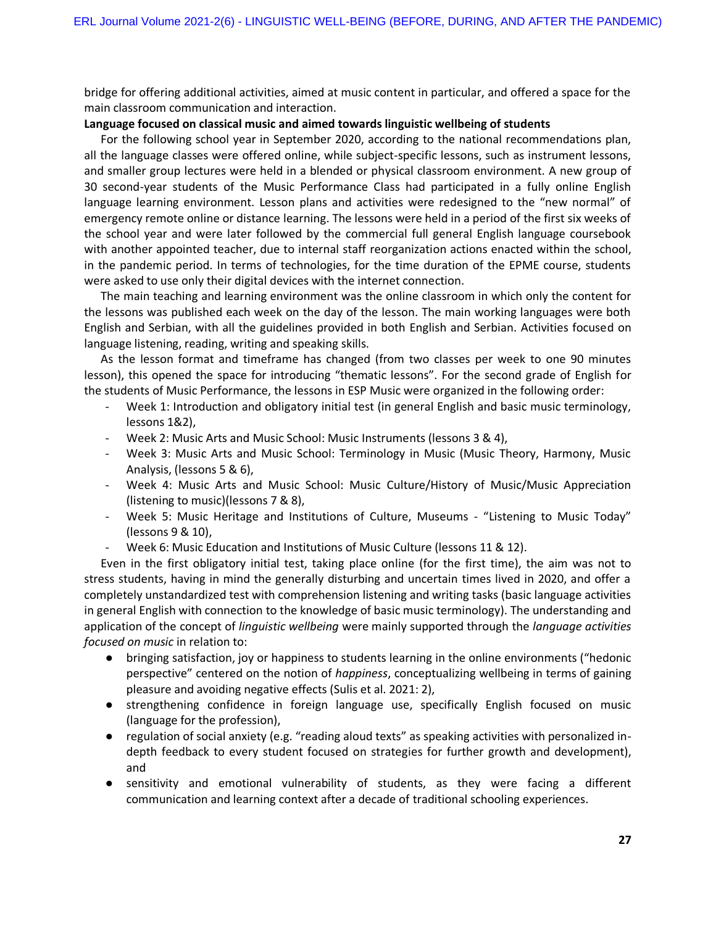bridge for offering additional activities, aimed at music content in particular, and offered a space for the main classroom communication and interaction.

## **Language focused on classical music and aimed towards linguistic wellbeing of students**

For the following school year in September 2020, according to the national recommendations plan, all the language classes were offered online, while subject-specific lessons, such as instrument lessons, and smaller group lectures were held in a blended or physical classroom environment. A new group of 30 second-year students of the Music Performance Class had participated in a fully online English language learning environment. Lesson plans and activities were redesigned to the "new normal" of emergency remote online or distance learning. The lessons were held in a period of the first six weeks of the school year and were later followed by the commercial full general English language coursebook with another appointed teacher, due to internal staff reorganization actions enacted within the school, in the pandemic period. In terms of technologies, for the time duration of the EPME course, students were asked to use only their digital devices with the internet connection.

The main teaching and learning environment was the online classroom in which only the content for the lessons was published each week on the day of the lesson. The main working languages were both English and Serbian, with all the guidelines provided in both English and Serbian. Activities focused on language listening, reading, writing and speaking skills.

As the lesson format and timeframe has changed (from two classes per week to one 90 minutes lesson), this opened the space for introducing "thematic lessons". For the second grade of English for the students of Music Performance, the lessons in ESP Music were organized in the following order:

- Week 1: Introduction and obligatory initial test (in general English and basic music terminology, lessons 1&2),
- Week 2: Music Arts and Music School: Music Instruments (lessons 3 & 4),
- Week 3: Music Arts and Music School: Terminology in Music (Music Theory, Harmony, Music Analysis, (lessons 5 & 6),
- Week 4: Music Arts and Music School: Music Culture/History of Music/Music Appreciation (listening to music)(lessons 7 & 8),
- Week 5: Music Heritage and Institutions of Culture, Museums "Listening to Music Today" (lessons 9 & 10),
- Week 6: Music Education and Institutions of Music Culture (lessons 11 & 12).

Even in the first obligatory initial test, taking place online (for the first time), the aim was not to stress students, having in mind the generally disturbing and uncertain times lived in 2020, and offer a completely unstandardized test with comprehension listening and writing tasks (basic language activities in general English with connection to the knowledge of basic music terminology). The understanding and application of the concept of *linguistic wellbeing* were mainly supported through the *language activities focused on music* in relation to:

- bringing satisfaction, joy or happiness to students learning in the online environments ("hedonic perspective" centered on the notion of *happiness*, conceptualizing wellbeing in terms of gaining pleasure and avoiding negative effects (Sulis et al. 2021: 2),
- strengthening confidence in foreign language use, specifically English focused on music (language for the profession),
- regulation of social anxiety (e.g. "reading aloud texts" as speaking activities with personalized indepth feedback to every student focused on strategies for further growth and development), and
- sensitivity and emotional vulnerability of students, as they were facing a different communication and learning context after a decade of traditional schooling experiences.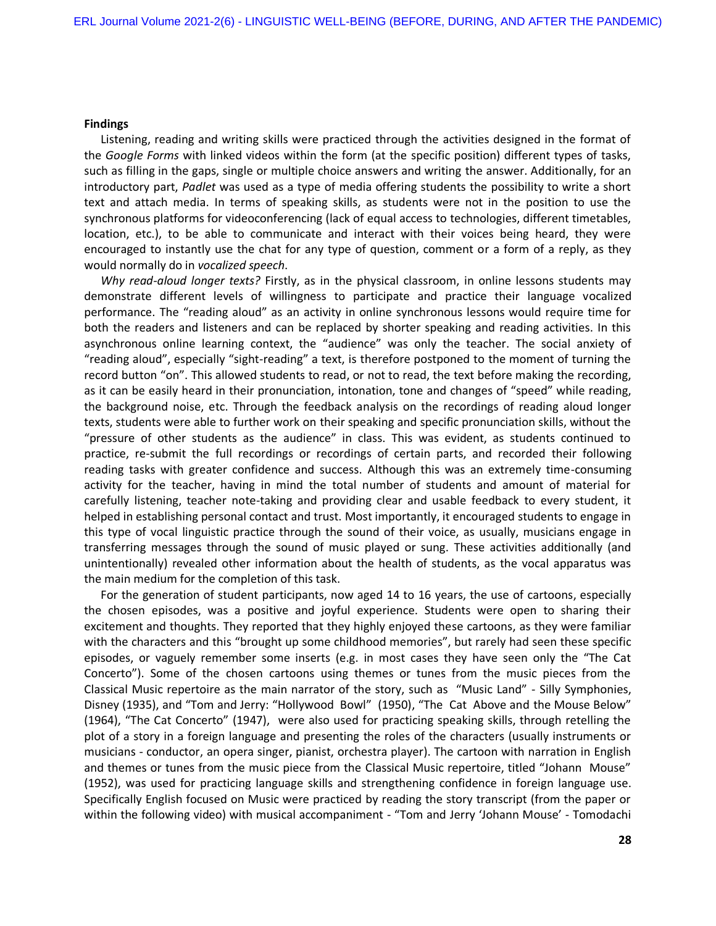#### **Findings**

Listening, reading and writing skills were practiced through the activities designed in the format of the *Google Forms* with linked videos within the form (at the specific position) different types of tasks, such as filling in the gaps, single or multiple choice answers and writing the answer. Additionally, for an introductory part, *Padlet* was used as a type of media offering students the possibility to write a short text and attach media. In terms of speaking skills, as students were not in the position to use the synchronous platforms for videoconferencing (lack of equal access to technologies, different timetables, location, etc.), to be able to communicate and interact with their voices being heard, they were encouraged to instantly use the chat for any type of question, comment or a form of a reply, as they would normally do in *vocalized speech*.

*Why read-aloud longer texts?* Firstly, as in the physical classroom, in online lessons students may demonstrate different levels of willingness to participate and practice their language vocalized performance. The "reading aloud" as an activity in online synchronous lessons would require time for both the readers and listeners and can be replaced by shorter speaking and reading activities. In this asynchronous online learning context, the "audience" was only the teacher. The social anxiety of "reading aloud", especially "sight-reading" a text, is therefore postponed to the moment of turning the record button "on". This allowed students to read, or not to read, the text before making the recording, as it can be easily heard in their pronunciation, intonation, tone and changes of "speed" while reading, the background noise, etc. Through the feedback analysis on the recordings of reading aloud longer texts, students were able to further work on their speaking and specific pronunciation skills, without the "pressure of other students as the audience" in class. This was evident, as students continued to practice, re-submit the full recordings or recordings of certain parts, and recorded their following reading tasks with greater confidence and success. Although this was an extremely time-consuming activity for the teacher, having in mind the total number of students and amount of material for carefully listening, teacher note-taking and providing clear and usable feedback to every student, it helped in establishing personal contact and trust. Most importantly, it encouraged students to engage in this type of vocal linguistic practice through the sound of their voice, as usually, musicians engage in transferring messages through the sound of music played or sung. These activities additionally (and unintentionally) revealed other information about the health of students, as the vocal apparatus was the main medium for the completion of this task.

For the generation of student participants, now aged 14 to 16 years, the use of cartoons, especially the chosen episodes, was a positive and joyful experience. Students were open to sharing their excitement and thoughts. They reported that they highly enjoyed these cartoons, as they were familiar with the characters and this "brought up some childhood memories", but rarely had seen these specific episodes, or vaguely remember some inserts (e.g. in most cases they have seen only the "The Cat Concerto"). Some of the chosen cartoons using themes or tunes from the music pieces from the Classical Music repertoire as the main narrator of the story, such as "Music Land" - Silly Symphonies, Disney (1935), and "Tom and Jerry: "Hollywood Bowl" (1950), "The Cat Above and the Mouse Below" (1964), "The Cat Concerto" (1947), were also used for practicing speaking skills, through retelling the plot of a story in a foreign language and presenting the roles of the characters (usually instruments or musicians - conductor, an opera singer, pianist, orchestra player). The cartoon with narration in English and themes or tunes from the music piece from the Classical Music repertoire, titled "Johann Mouse" (1952), was used for practicing language skills and strengthening confidence in foreign language use. Specifically English focused on Music were practiced by reading the story transcript (from the paper or within the following video) with musical accompaniment - "Tom and Jerry 'Johann Mouse' - Tomodachi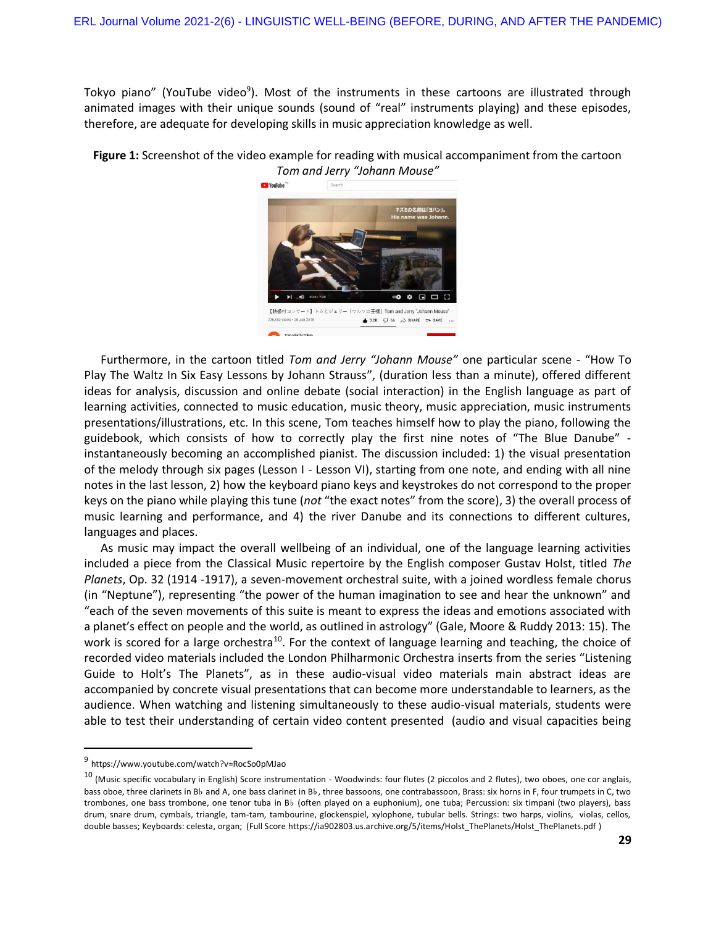Tokyo piano" (YouTube video<sup>9</sup>). Most of the instruments in these cartoons are illustrated through animated images with their unique sounds (sound of "real" instruments playing) and these episodes, therefore, are adequate for developing skills in music appreciation knowledge as well.

**Figure 1:** Screenshot of the video example for reading with musical accompaniment from the cartoon *Tom and Jerry "Johann Mouse"*



Furthermore, in the cartoon titled *Tom and Jerry "Johann Mouse"* one particular scene - "How To Play The Waltz In Six Easy Lessons by Johann Strauss", (duration less than a minute), offered different ideas for analysis, discussion and online debate (social interaction) in the English language as part of learning activities, connected to music education, music theory, music appreciation, music instruments presentations/illustrations, etc. In this scene, Tom teaches himself how to play the piano, following the guidebook, which consists of how to correctly play the first nine notes of "The Blue Danube" instantaneously becoming an accomplished pianist. The discussion included: 1) the visual presentation of the melody through six pages (Lesson I - Lesson VI), starting from one note, and ending with all nine notes in the last lesson, 2) how the keyboard piano keys and keystrokes do not correspond to the proper keys on the piano while playing this tune (*not* "the exact notes" from the score), 3) the overall process of music learning and performance, and 4) the river Danube and its connections to different cultures, languages and places.

As music may impact the overall wellbeing of an individual, one of the language learning activities included a piece from the Classical Music repertoire by the English composer Gustav Holst, titled *The Planets*, Op. 32 (1914 -1917), a seven-movement orchestral suite, with a joined wordless female chorus (in "Neptune"), representing "the power of the human imagination to see and hear the unknown" and "each of the seven movements of this suite is meant to express the ideas and emotions associated with a planet's effect on people and the world, as outlined in astrology" (Gale, Moore & Ruddy 2013: 15). The work is scored for a large orchestra<sup>10</sup>. For the context of language learning and teaching, the choice of recorded video materials included the London Philharmonic Orchestra inserts from the series "Listening Guide to Holt's The Planets", as in these audio-visual video materials main abstract ideas are accompanied by concrete visual presentations that can become more understandable to learners, as the audience. When watching and listening simultaneously to these audio-visual materials, students were able to test their understanding of certain video content presented (audio and visual capacities being

 $\overline{a}$ 

<sup>&</sup>lt;sup>9</sup> <https://www.youtube.com/watch?v=RocSo0pMJao>

 $10$  (Music specific vocabulary in English) Score instrumentation - Woodwinds: four flutes (2 piccolos and 2 flutes), two oboes, one cor anglais, bass oboe, three clarinets in B♭ and A, one bass clarinet in B♭, three bassoons, one contrabassoon, Brass: six horns in F, four trumpets in C, two trombones, one bass trombone, one tenor tuba in B♭ (often played on a euphonium), one tuba; Percussion: six timpani (two players), bass drum, snare drum, cymbals, triangle, tam-tam, tambourine, glockenspiel, xylophone, tubular bells. Strings: two harps, violins, violas, cellos, double basses; Keyboards: celesta, organ; (Full Scor[e https://ia902803.us.archive.org/5/items/Holst\\_ThePlanets/Holst\\_ThePlanets.pdf](https://ia902803.us.archive.org/5/items/Holst_ThePlanets/Holst_ThePlanets.pdf) )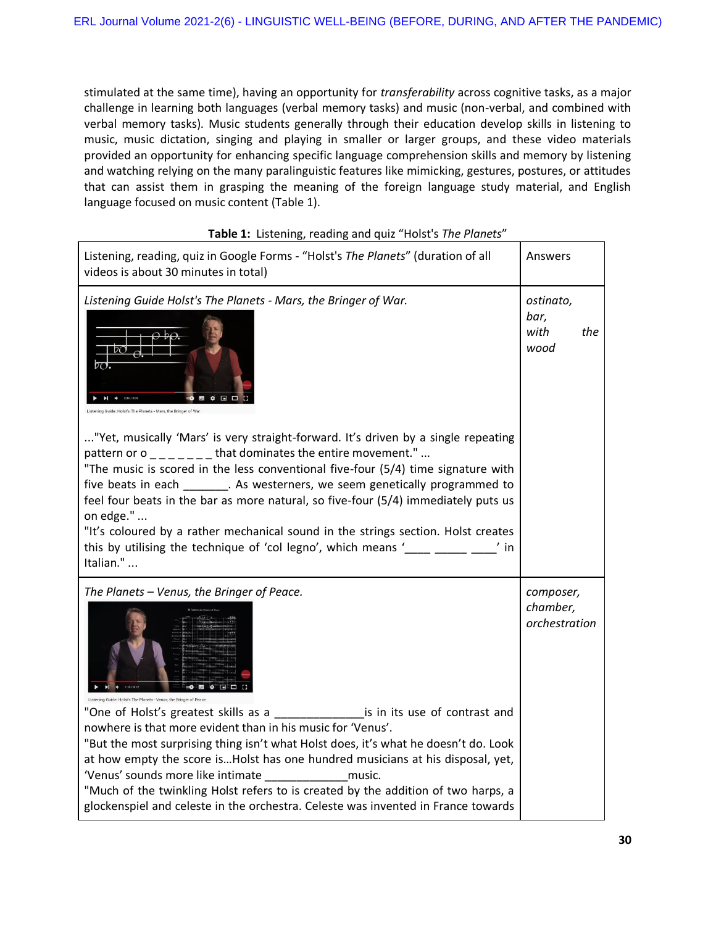stimulated at the same time), having an opportunity for *transferability* across cognitive tasks, as a major challenge in learning both languages (verbal memory tasks) and music (non-verbal, and combined with verbal memory tasks). Music students generally through their education develop skills in listening to music, music dictation, singing and playing in smaller or larger groups, and these video materials provided an opportunity for enhancing specific language comprehension skills and memory by listening and watching relying on the many paralinguistic features like mimicking, gestures, postures, or attitudes that can assist them in grasping the meaning of the foreign language study material, and English language focused on music content (Table 1).

| Listening, reading, quiz in Google Forms - "Holst's The Planets" (duration of all<br>videos is about 30 minutes in total)                                                                                                                                                                                                                                                                                                                                                        | Answers                                |     |
|----------------------------------------------------------------------------------------------------------------------------------------------------------------------------------------------------------------------------------------------------------------------------------------------------------------------------------------------------------------------------------------------------------------------------------------------------------------------------------|----------------------------------------|-----|
| Listening Guide Holst's The Planets - Mars, the Bringer of War.<br>$\overline{2O}$ .<br>"Yet, musically 'Mars' is very straight-forward. It's driven by a single repeating<br>pattern or $o_{\text{max}} = 1 - 1$ that dominates the entire movement."                                                                                                                                                                                                                           | ostinato,<br>bar,<br>with<br>wood      | the |
| "The music is scored in the less conventional five-four (5/4) time signature with<br>five beats in each ________. As westerners, we seem genetically programmed to<br>feel four beats in the bar as more natural, so five-four (5/4) immediately puts us<br>on edge."<br>"It's coloured by a rather mechanical sound in the strings section. Holst creates<br>this by utilising the technique of 'col legno', which means '<br>$^{\prime}$ in<br>Italian."                       |                                        |     |
| The Planets - Venus, the Bringer of Peace.<br>Listening Guide: Holst's The Planets - Venus, the Bringer of Peace<br>"One of Holst's greatest skills as a<br>is in its use of contrast and<br>nowhere is that more evident than in his music for 'Venus'.<br>"But the most surprising thing isn't what Holst does, it's what he doesn't do. Look<br>at how empty the score isHolst has one hundred musicians at his disposal, yet,<br>'Venus' sounds more like intimate<br>music. | composer,<br>chamber,<br>orchestration |     |
| "Much of the twinkling Holst refers to is created by the addition of two harps, a<br>glockenspiel and celeste in the orchestra. Celeste was invented in France towards                                                                                                                                                                                                                                                                                                           |                                        |     |

# **Table 1:** Listening, reading and quiz "Holst's *The Planets*"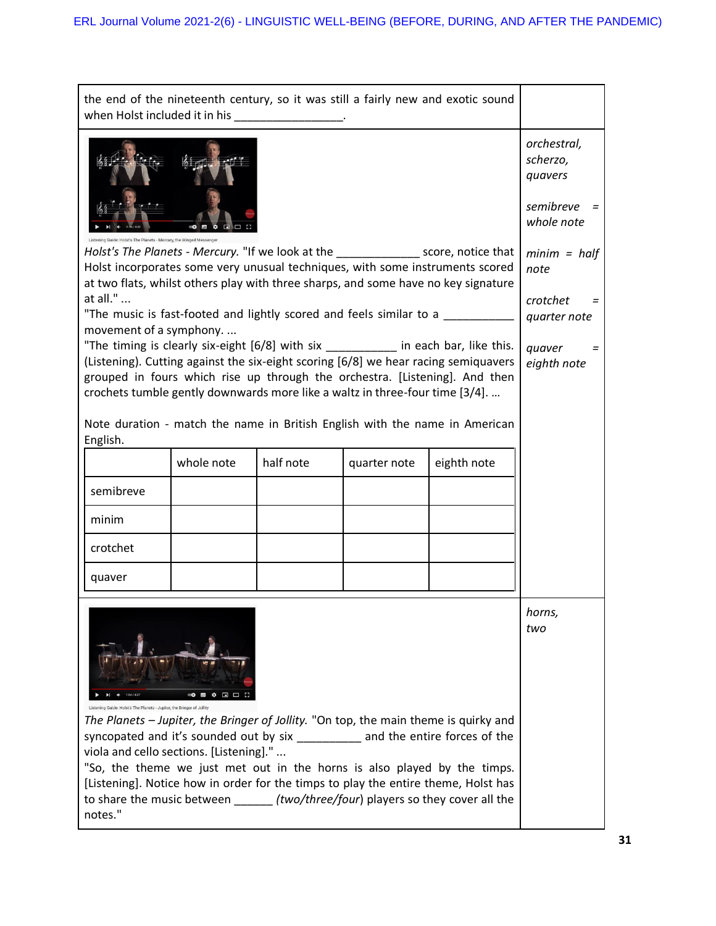| when Holst included it in his _________________.                                                                                                                                                                                                                                                                                                                                                                                                                                                                      |                                                               |           |              | the end of the nineteenth century, so it was still a fairly new and exotic sound                                                                                                                                                                                                                                                                                                                                       |                                                                             |
|-----------------------------------------------------------------------------------------------------------------------------------------------------------------------------------------------------------------------------------------------------------------------------------------------------------------------------------------------------------------------------------------------------------------------------------------------------------------------------------------------------------------------|---------------------------------------------------------------|-----------|--------------|------------------------------------------------------------------------------------------------------------------------------------------------------------------------------------------------------------------------------------------------------------------------------------------------------------------------------------------------------------------------------------------------------------------------|-----------------------------------------------------------------------------|
|                                                                                                                                                                                                                                                                                                                                                                                                                                                                                                                       | orchestral,<br>scherzo,<br>quavers<br>semibreve<br>whole note |           |              |                                                                                                                                                                                                                                                                                                                                                                                                                        |                                                                             |
| Holst's The Planets - Mercury, the Winged Messenger<br>Holst's The Planets - Mercury. "If we look at the _______________ score, notice that<br>Holst incorporates some very unusual techniques, with some instruments scored<br>at two flats, whilst others play with three sharps, and some have no key signature<br>at all."<br>"The music is fast-footed and lightly scored and feels similar to a<br>movement of a symphony.<br>"The timing is clearly six-eight [6/8] with six _________ in each bar, like this. |                                                               |           |              |                                                                                                                                                                                                                                                                                                                                                                                                                        | $minim = half$<br>note<br>crotchet<br>quarter note<br>quaver<br>eighth note |
| (Listening). Cutting against the six-eight scoring [6/8] we hear racing semiquavers<br>grouped in fours which rise up through the orchestra. [Listening]. And then<br>crochets tumble gently downwards more like a waltz in three-four time [3/4].<br>Note duration - match the name in British English with the name in American                                                                                                                                                                                     |                                                               |           |              |                                                                                                                                                                                                                                                                                                                                                                                                                        |                                                                             |
| English.                                                                                                                                                                                                                                                                                                                                                                                                                                                                                                              | whole note                                                    | half note | quarter note | eighth note                                                                                                                                                                                                                                                                                                                                                                                                            |                                                                             |
| semibreve                                                                                                                                                                                                                                                                                                                                                                                                                                                                                                             |                                                               |           |              |                                                                                                                                                                                                                                                                                                                                                                                                                        |                                                                             |
| minim                                                                                                                                                                                                                                                                                                                                                                                                                                                                                                                 |                                                               |           |              |                                                                                                                                                                                                                                                                                                                                                                                                                        |                                                                             |
| crotchet                                                                                                                                                                                                                                                                                                                                                                                                                                                                                                              |                                                               |           |              |                                                                                                                                                                                                                                                                                                                                                                                                                        |                                                                             |
| quaver                                                                                                                                                                                                                                                                                                                                                                                                                                                                                                                |                                                               |           |              |                                                                                                                                                                                                                                                                                                                                                                                                                        |                                                                             |
| Listening Guide: Holst's The Planets - Jupiter, the Bringer of Jollity<br>viola and cello sections. [Listening]."<br>notes."                                                                                                                                                                                                                                                                                                                                                                                          |                                                               |           |              | The Planets - Jupiter, the Bringer of Jollity. "On top, the main theme is quirky and<br>syncopated and it's sounded out by six ___________ and the entire forces of the<br>"So, the theme we just met out in the horns is also played by the timps.<br>[Listening]. Notice how in order for the timps to play the entire theme, Holst has<br>to share the music between (two/three/four) players so they cover all the | horns,<br>two                                                               |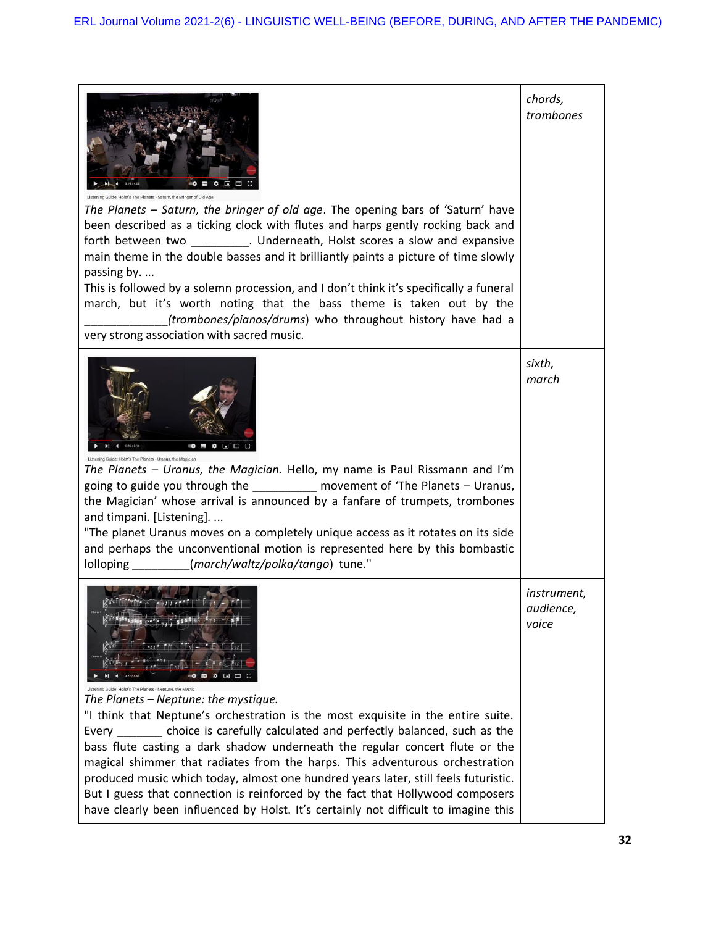| Holst's The Planets - Saturn, the Bringer of Old Ar<br>The Planets – Saturn, the bringer of old age. The opening bars of 'Saturn' have<br>been described as a ticking clock with flutes and harps gently rocking back and<br>forth between two ___________. Underneath, Holst scores a slow and expansive<br>main theme in the double basses and it brilliantly paints a picture of time slowly<br>passing by.<br>This is followed by a solemn procession, and I don't think it's specifically a funeral<br>march, but it's worth noting that the bass theme is taken out by the<br>(trombones/pianos/drums) who throughout history have had a<br>very strong association with sacred music.  | chords,<br>trombones                     |
|-----------------------------------------------------------------------------------------------------------------------------------------------------------------------------------------------------------------------------------------------------------------------------------------------------------------------------------------------------------------------------------------------------------------------------------------------------------------------------------------------------------------------------------------------------------------------------------------------------------------------------------------------------------------------------------------------|------------------------------------------|
| 5 ≎ ⊡<br>Listening Guide: Holst's The Planets - Uranus, the Magician<br>The Planets - Uranus, the Magician. Hello, my name is Paul Rissmann and I'm<br>going to guide you through the __________ movement of 'The Planets - Uranus,<br>the Magician' whose arrival is announced by a fanfare of trumpets, trombones<br>and timpani. [Listening].<br>"The planet Uranus moves on a completely unique access as it rotates on its side<br>and perhaps the unconventional motion is represented here by this bombastic<br>lolloping _________(march/waltz/polka/tango) tune."                                                                                                                    | sixth,<br>march                          |
| g Guide: Holst's The Planets - Neptune, the Mystic<br>The Planets - Neptune: the mystique.<br>"I think that Neptune's orchestration is the most exquisite in the entire suite.<br>choice is carefully calculated and perfectly balanced, such as the<br>Every<br>bass flute casting a dark shadow underneath the regular concert flute or the<br>magical shimmer that radiates from the harps. This adventurous orchestration<br>produced music which today, almost one hundred years later, still feels futuristic.<br>But I guess that connection is reinforced by the fact that Hollywood composers<br>have clearly been influenced by Holst. It's certainly not difficult to imagine this | <i>instrument,</i><br>audience,<br>voice |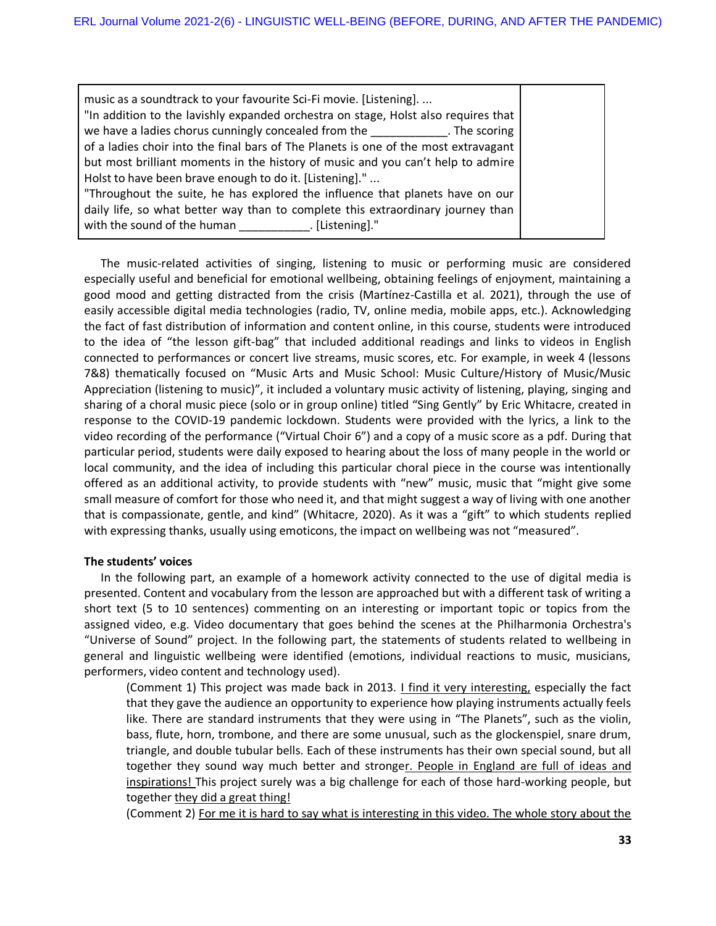The music-related activities of singing, listening to music or performing music are considered especially useful and beneficial for emotional wellbeing, obtaining feelings of enjoyment, maintaining a good mood and getting distracted from the crisis (Martínez-Castilla et al. 2021), through the use of easily accessible digital media technologies (radio, TV, online media, mobile apps, etc.). Acknowledging the fact of fast distribution of information and content online, in this course, students were introduced to the idea of "the lesson gift-bag" that included additional readings and links to videos in English connected to performances or concert live streams, music scores, etc. For example, in week 4 (lessons 7&8) thematically focused on "Music Arts and Music School: Music Culture/History of Music/Music Appreciation (listening to music)", it included a voluntary music activity of listening, playing, singing and sharing of a choral music piece (solo or in group online) titled "Sing Gently" by Eric Whitacre, created in response to the COVID-19 pandemic lockdown. Students were provided with the lyrics, a link to the video recording of the performance ("Virtual Choir 6") and a copy of a music score as a pdf. During that particular period, students were daily exposed to hearing about the loss of many people in the world or local community, and the idea of including this particular choral piece in the course was intentionally offered as an additional activity, to provide students with "new" music, music that "might give some small measure of comfort for those who need it, and that might suggest a way of living with one another that is compassionate, gentle, and kind" (Whitacre, 2020). As it was a "gift" to which students replied with expressing thanks, usually using emoticons, the impact on wellbeing was not "measured".

# **The students' voices**

In the following part, an example of a homework activity connected to the use of digital media is presented. Content and vocabulary from the lesson are approached but with a different task of writing a short text (5 to 10 sentences) commenting on an interesting or important topic or topics from the assigned video, e.g. Video documentary that goes behind the scenes at the Philharmonia Orchestra's "Universe of Sound" project. In the following part, the statements of students related to wellbeing in general and linguistic wellbeing were identified (emotions, individual reactions to music, musicians, performers, video content and technology used).

(Comment 1) This project was made back in 2013. *I find it very interesting*, especially the fact that they gave the audience an opportunity to experience how playing instruments actually feels like. There are standard instruments that they were using in "The Planets", such as the violin, bass, flute, horn, trombone, and there are some unusual, such as the glockenspiel, snare drum, triangle, and double tubular bells. Each of these instruments has their own special sound, but all together they sound way much better and stronger. People in England are full of ideas and inspirations! This project surely was a big challenge for each of those hard-working people, but together they did a great thing!

(Comment 2) For me it is hard to say what is interesting in this video. The whole story about the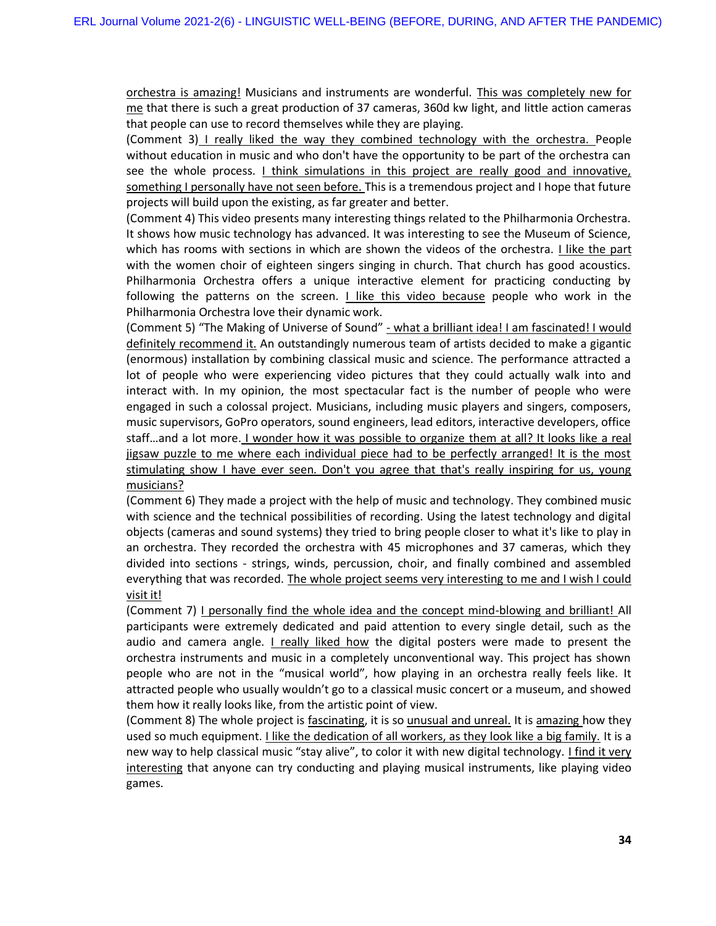orchestra is amazing! Musicians and instruments are wonderful. This was completely new for me that there is such a great production of 37 cameras, 360d kw light, and little action cameras that people can use to record themselves while they are playing.

(Comment 3) I really liked the way they combined technology with the orchestra. People without education in music and who don't have the opportunity to be part of the orchestra can see the whole process. *I think simulations in this project are really good and innovative,* something I personally have not seen before. This is a tremendous project and I hope that future projects will build upon the existing, as far greater and better.

(Comment 4) This video presents many interesting things related to the Philharmonia Orchestra. It shows how music technology has advanced. It was interesting to see the Museum of Science, which has rooms with sections in which are shown the videos of the orchestra. *I like the part* with the women choir of eighteen singers singing in church. That church has good acoustics. Philharmonia Orchestra offers a unique interactive element for practicing conducting by following the patterns on the screen. I like this video because people who work in the Philharmonia Orchestra love their dynamic work.

(Comment 5) "The Making of Universe of Sound" - what a brilliant idea! I am fascinated! I would definitely recommend it. An outstandingly numerous team of artists decided to make a gigantic (enormous) installation by combining classical music and science. The performance attracted a lot of people who were experiencing video pictures that they could actually walk into and interact with. In my opinion, the most spectacular fact is the number of people who were engaged in such a colossal project. Musicians, including music players and singers, composers, music supervisors, GoPro operators, sound engineers, lead editors, interactive developers, office staff...and a lot more. I wonder how it was possible to organize them at all? It looks like a real jigsaw puzzle to me where each individual piece had to be perfectly arranged! It is the most stimulating show I have ever seen. Don't you agree that that's really inspiring for us, young musicians?

(Comment 6) They made a project with the help of music and technology. They combined music with science and the technical possibilities of recording. Using the latest technology and digital objects (cameras and sound systems) they tried to bring people closer to what it's like to play in an orchestra. They recorded the orchestra with 45 microphones and 37 cameras, which they divided into sections - strings, winds, percussion, choir, and finally combined and assembled everything that was recorded. The whole project seems very interesting to me and I wish I could visit it!

(Comment 7) I personally find the whole idea and the concept mind-blowing and brilliant! All participants were extremely dedicated and paid attention to every single detail, such as the audio and camera angle. I really liked how the digital posters were made to present the orchestra instruments and music in a completely unconventional way. This project has shown people who are not in the "musical world", how playing in an orchestra really feels like. It attracted people who usually wouldn't go to a classical music concert or a museum, and showed them how it really looks like, from the artistic point of view.

(Comment 8) The whole project is fascinating, it is so unusual and unreal. It is amazing how they used so much equipment. I like the dedication of all workers, as they look like a big family. It is a new way to help classical music "stay alive", to color it with new digital technology. I find it very interesting that anyone can try conducting and playing musical instruments, like playing video games.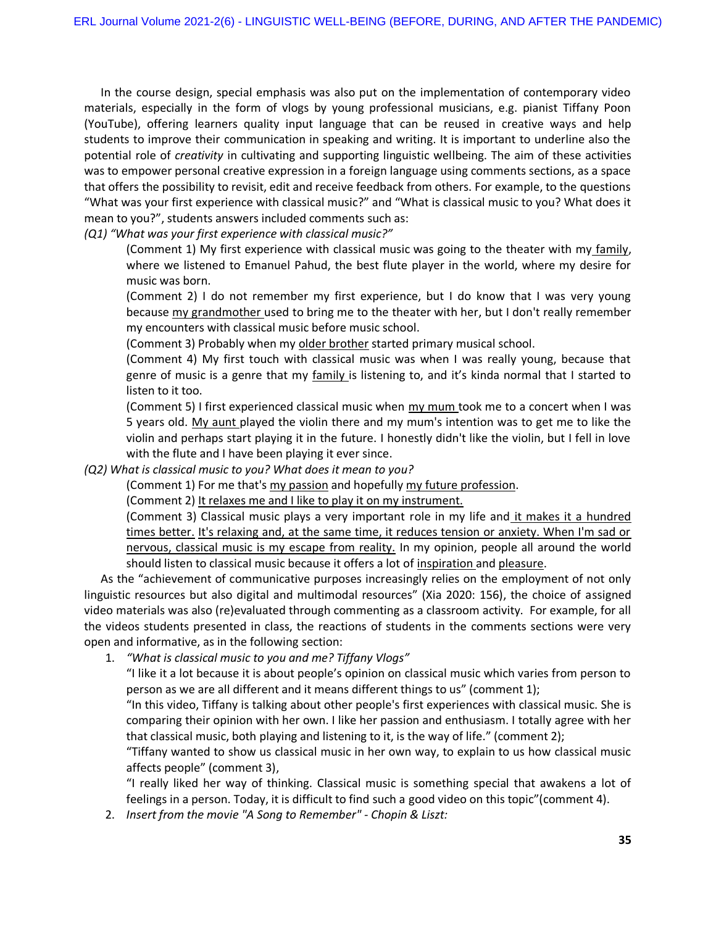In the course design, special emphasis was also put on the implementation of contemporary video materials, especially in the form of vlogs by young professional musicians, e.g. pianist Tiffany Poon (YouTube), offering learners quality input language that can be reused in creative ways and help students to improve their communication in speaking and writing. It is important to underline also the potential role of *creativity* in cultivating and supporting linguistic wellbeing. The aim of these activities was to empower personal creative expression in a foreign language using comments sections, as a space that offers the possibility to revisit, edit and receive feedback from others. For example, to the questions "What was your first experience with classical music?" and "What is classical music to you? What does it mean to you?", students answers included comments such as:

*(Q1) "What was your first experience with classical music?"*

(Comment 1) My first experience with classical music was going to the theater with my family, where we listened to Emanuel Pahud, the best flute player in the world, where my desire for music was born.

(Comment 2) I do not remember my first experience, but I do know that I was very young because my grandmother used to bring me to the theater with her, but I don't really remember my encounters with classical music before music school.

(Comment 3) Probably when my older brother started primary musical school.

(Comment 4) My first touch with classical music was when I was really young, because that genre of music is a genre that my family is listening to, and it's kinda normal that I started to listen to it too.

(Comment 5) I first experienced classical music when my mum took me to a concert when I was 5 years old. My aunt played the violin there and my mum's intention was to get me to like the violin and perhaps start playing it in the future. I honestly didn't like the violin, but I fell in love with the flute and I have been playing it ever since.

*(Q2) What is classical music to you? What does it mean to you?*

(Comment 1) For me that's my passion and hopefully my future profession.

(Comment 2) It relaxes me and I like to play it on my instrument.

(Comment 3) Classical music plays a very important role in my life and it makes it a hundred times better. It's relaxing and, at the same time, it reduces tension or anxiety. When I'm sad or nervous, classical music is my escape from reality. In my opinion, people all around the world should listen to classical music because it offers a lot of inspiration and pleasure.

As the "achievement of communicative purposes increasingly relies on the employment of not only linguistic resources but also digital and multimodal resources" (Xia 2020: 156), the choice of assigned video materials was also (re)evaluated through commenting as a classroom activity. For example, for all the videos students presented in class, the reactions of students in the comments sections were very open and informative, as in the following section:

1. *"What is classical music to you and me? Tiffany Vlogs"*

"I like it a lot because it is about people's opinion on classical music which varies from person to person as we are all different and it means different things to us" (comment 1);

"In this video, Tiffany is talking about other people's first experiences with classical music. She is comparing their opinion with her own. I like her passion and enthusiasm. I totally agree with her that classical music, both playing and listening to it, is the way of life." (comment 2);

"Tiffany wanted to show us classical music in her own way, to explain to us how classical music affects people" (comment 3),

"I really liked her way of thinking. Classical music is something special that awakens a lot of feelings in a person. Today, it is difficult to find such a good video on this topic"(comment 4).

2. *Insert from the movie "A Song to Remember" - Chopin & Liszt:*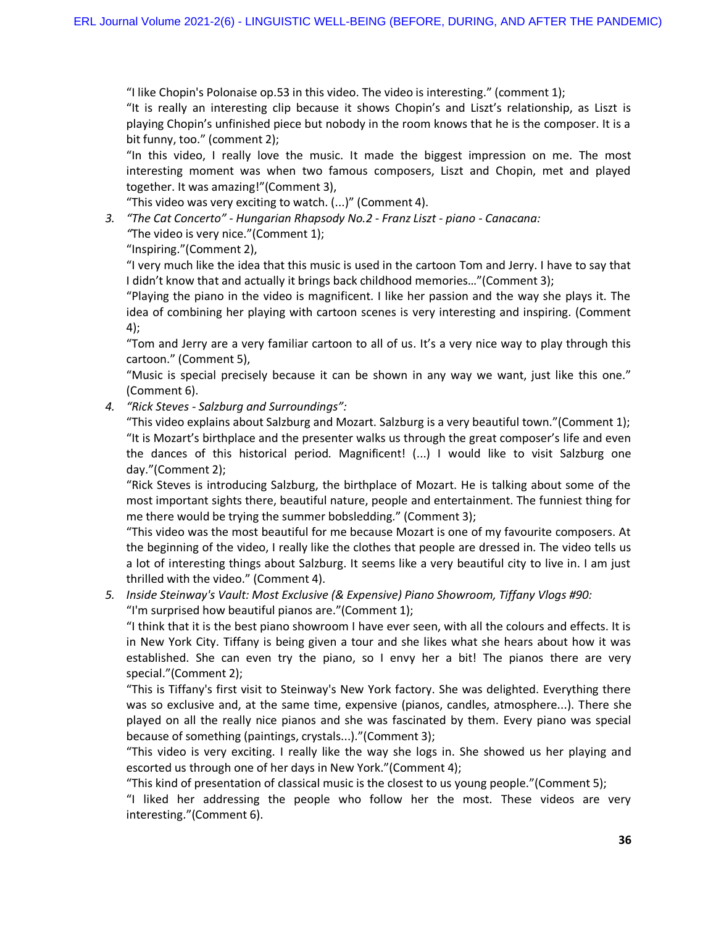"I like Chopin's Polonaise op.53 in this video. The video is interesting." (comment 1);

"It is really an interesting clip because it shows Chopin's and Liszt's relationship, as Liszt is playing Chopin's unfinished piece but nobody in the room knows that he is the composer. It is a bit funny, too." (comment 2);

"In this video, I really love the music. It made the biggest impression on me. The most interesting moment was when two famous composers, Liszt and Chopin, met and played together. It was amazing!"(Comment 3),

"This video was very exciting to watch. (...)" (Comment 4).

*3. "The Cat Concerto" - Hungarian Rhapsody No.2 - Franz Liszt - piano - Canacana:* 

*"*The video is very nice."(Comment 1);

"Inspiring."(Comment 2),

"I very much like the idea that this music is used in the cartoon Tom and Jerry. I have to say that I didn't know that and actually it brings back childhood memories…"(Comment 3);

"Playing the piano in the video is magnificent. I like her passion and the way she plays it. The idea of combining her playing with cartoon scenes is very interesting and inspiring. (Comment 4);

"Tom and Jerry are a very familiar cartoon to all of us. It's a very nice way to play through this cartoon." (Comment 5),

"Music is special precisely because it can be shown in any way we want, just like this one." (Comment 6).

*4. "Rick Steves - Salzburg and Surroundings":* 

"This video explains about Salzburg and Mozart. Salzburg is a very beautiful town."(Comment 1); "It is Mozart's birthplace and the presenter walks us through the great composer's life and even the dances of this historical period. Magnificent! (...) I would like to visit Salzburg one day."(Comment 2);

"Rick Steves is introducing Salzburg, the birthplace of Mozart. He is talking about some of the most important sights there, beautiful nature, people and entertainment. The funniest thing for me there would be trying the summer bobsledding." (Comment 3);

"This video was the most beautiful for me because Mozart is one of my favourite composers. At the beginning of the video, I really like the clothes that people are dressed in. The video tells us a lot of interesting things about Salzburg. It seems like a very beautiful city to live in. I am just thrilled with the video." (Comment 4).

*5. Inside Steinway's Vault: Most Exclusive (& Expensive) Piano Showroom, Tiffany Vlogs #90:*  "I'm surprised how beautiful pianos are."(Comment 1);

"I think that it is the best piano showroom I have ever seen, with all the colours and effects. It is in New York City. Tiffany is being given a tour and she likes what she hears about how it was established. She can even try the piano, so I envy her a bit! The pianos there are very special."(Comment 2);

"This is Tiffany's first visit to Steinway's New York factory. She was delighted. Everything there was so exclusive and, at the same time, expensive (pianos, candles, atmosphere...). There she played on all the really nice pianos and she was fascinated by them. Every piano was special because of something (paintings, crystals...)."(Comment 3);

"This video is very exciting. I really like the way she logs in. She showed us her playing and escorted us through one of her days in New York."(Comment 4);

"This kind of presentation of classical music is the closest to us young people."(Comment 5);

"I liked her addressing the people who follow her the most. These videos are very interesting."(Comment 6).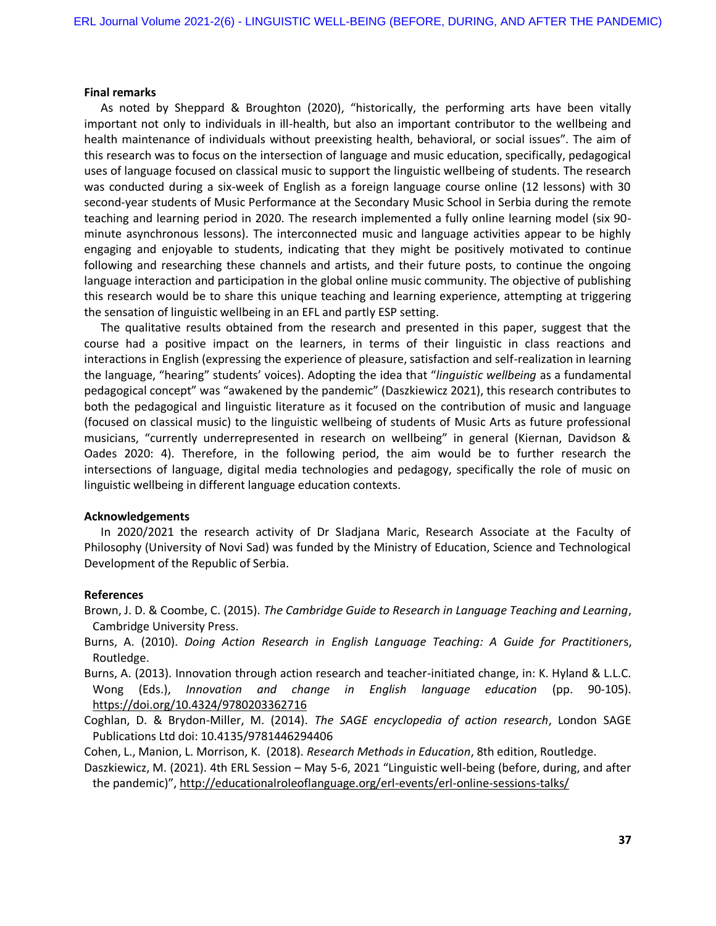#### **Final remarks**

As noted by Sheppard & Broughton (2020), "historically, the performing arts have been vitally important not only to individuals in ill-health, but also an important contributor to the wellbeing and health maintenance of individuals without preexisting health, behavioral, or social issues". The aim of this research was to focus on the intersection of language and music education, specifically, pedagogical uses of language focused on classical music to support the linguistic wellbeing of students. The research was conducted during a six-week of English as a foreign language course online (12 lessons) with 30 second-year students of Music Performance at the Secondary Music School in Serbia during the remote teaching and learning period in 2020. The research implemented a fully online learning model (six 90 minute asynchronous lessons). The interconnected music and language activities appear to be highly engaging and enjoyable to students, indicating that they might be positively motivated to continue following and researching these channels and artists, and their future posts, to continue the ongoing language interaction and participation in the global online music community. The objective of publishing this research would be to share this unique teaching and learning experience, attempting at triggering the sensation of linguistic wellbeing in an EFL and partly ESP setting.

The qualitative results obtained from the research and presented in this paper, suggest that the course had a positive impact on the learners, in terms of their linguistic in class reactions and interactions in English (expressing the experience of pleasure, satisfaction and self-realization in learning the language, "hearing" students' voices). Adopting the idea that "*linguistic wellbeing* as a fundamental pedagogical concept" was "awakened by the pandemic" (Daszkiewicz 2021), this research contributes to both the pedagogical and linguistic literature as it focused on the contribution of music and language (focused on classical music) to the linguistic wellbeing of students of Music Arts as future professional musicians, "currently underrepresented in research on wellbeing" in general (Kiernan, Davidson & Oades 2020: 4). Therefore, in the following period, the aim would be to further research the intersections of language, digital media technologies and pedagogy, specifically the role of music on linguistic wellbeing in different language education contexts.

# **Acknowledgements**

In 2020/2021 the research activity of Dr Sladjana Maric, Research Associate at the Faculty of Philosophy (University of Novi Sad) was funded by the Ministry of Education, Science and Technological Development of the Republic of Serbia.

#### **References**

- Brown, J. D. & Coombe, C. (2015). *The Cambridge Guide to Research in Language Teaching and Learning*, Cambridge University Press.
- Burns, A. (2010). *Doing Action Research in English Language Teaching: A Guide for Practitioner*s, Routledge.
- Burns, A. (2013). Innovation through action research and teacher-initiated change, in: K. Hyland & L.L.C. Wong (Eds.), *Innovation and change in English language education* (pp. 90-105). <https://doi.org/10.4324/9780203362716>
- Coghlan, D. & Brydon-Miller, M. (2014). *The SAGE encyclopedia of action research*, London SAGE Publications Ltd doi: 10.4135/9781446294406

Cohen, L., Manion, L. Morrison, K. (2018). *Research Methods in Education*, 8th edition, Routledge.

Daszkiewicz, M. (2021). 4th ERL Session – May 5-6, 2021 "Linguistic well-being (before, during, and after the pandemic)", <http://educationalroleoflanguage.org/erl-events/erl-online-sessions-talks/>